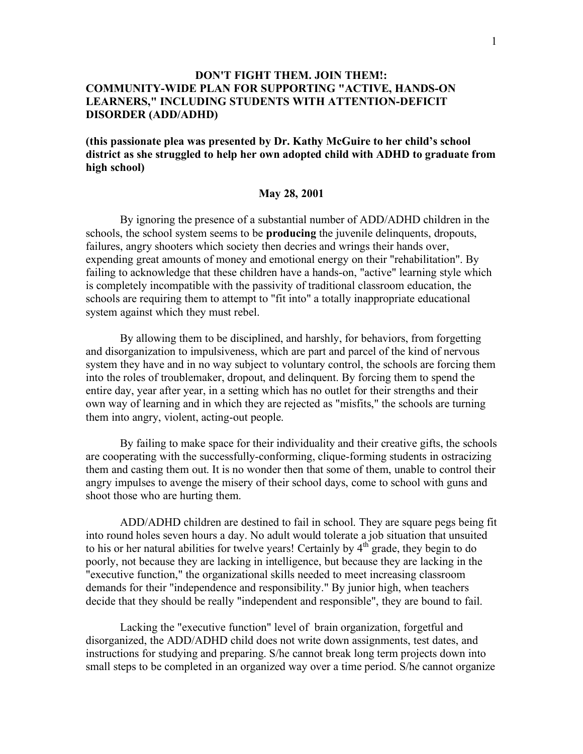# **DON'T FIGHT THEM. JOIN THEM!: COMMUNITY-WIDE PLAN FOR SUPPORTING "ACTIVE, HANDS-ON LEARNERS," INCLUDING STUDENTS WITH ATTENTION-DEFICIT DISORDER (ADD/ADHD)**

**(this passionate plea was presented by Dr. Kathy McGuire to her child's school district as she struggled to help her own adopted child with ADHD to graduate from high school)**

#### **May 28, 2001**

By ignoring the presence of a substantial number of ADD/ADHD children in the schools, the school system seems to be **producing** the juvenile delinquents, dropouts, failures, angry shooters which society then decries and wrings their hands over, expending great amounts of money and emotional energy on their "rehabilitation". By failing to acknowledge that these children have a hands-on, "active" learning style which is completely incompatible with the passivity of traditional classroom education, the schools are requiring them to attempt to "fit into" a totally inappropriate educational system against which they must rebel.

By allowing them to be disciplined, and harshly, for behaviors, from forgetting and disorganization to impulsiveness, which are part and parcel of the kind of nervous system they have and in no way subject to voluntary control, the schools are forcing them into the roles of troublemaker, dropout, and delinquent. By forcing them to spend the entire day, year after year, in a setting which has no outlet for their strengths and their own way of learning and in which they are rejected as "misfits," the schools are turning them into angry, violent, acting-out people.

By failing to make space for their individuality and their creative gifts, the schools are cooperating with the successfully-conforming, clique-forming students in ostracizing them and casting them out. It is no wonder then that some of them, unable to control their angry impulses to avenge the misery of their school days, come to school with guns and shoot those who are hurting them.

ADD/ADHD children are destined to fail in school. They are square pegs being fit into round holes seven hours a day. No adult would tolerate a job situation that unsuited to his or her natural abilities for twelve years! Certainly by  $4<sup>th</sup>$  grade, they begin to do poorly, not because they are lacking in intelligence, but because they are lacking in the "executive function," the organizational skills needed to meet increasing classroom demands for their "independence and responsibility." By junior high, when teachers decide that they should be really "independent and responsible", they are bound to fail.

Lacking the "executive function" level of brain organization, forgetful and disorganized, the ADD/ADHD child does not write down assignments, test dates, and instructions for studying and preparing. S/he cannot break long term projects down into small steps to be completed in an organized way over a time period. S/he cannot organize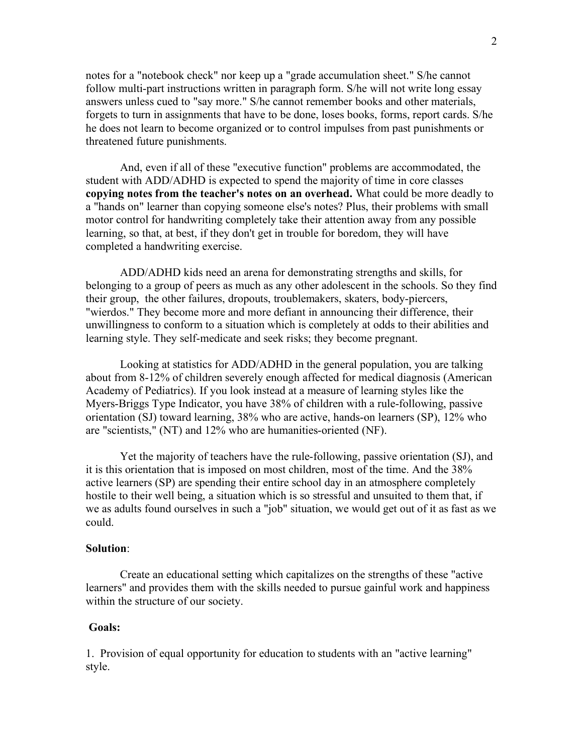notes for a "notebook check" nor keep up a "grade accumulation sheet." S/he cannot follow multi-part instructions written in paragraph form. S/he will not write long essay answers unless cued to "say more." S/he cannot remember books and other materials, forgets to turn in assignments that have to be done, loses books, forms, report cards. S/he he does not learn to become organized or to control impulses from past punishments or threatened future punishments.

And, even if all of these "executive function" problems are accommodated, the student with ADD/ADHD is expected to spend the majority of time in core classes **copying notes from the teacher's notes on an overhead.** What could be more deadly to a "hands on" learner than copying someone else's notes? Plus, their problems with small motor control for handwriting completely take their attention away from any possible learning, so that, at best, if they don't get in trouble for boredom, they will have completed a handwriting exercise.

ADD/ADHD kids need an arena for demonstrating strengths and skills, for belonging to a group of peers as much as any other adolescent in the schools. So they find their group, the other failures, dropouts, troublemakers, skaters, body-piercers, "wierdos." They become more and more defiant in announcing their difference, their unwillingness to conform to a situation which is completely at odds to their abilities and learning style. They self-medicate and seek risks; they become pregnant.

Looking at statistics for ADD/ADHD in the general population, you are talking about from 8-12% of children severely enough affected for medical diagnosis (American Academy of Pediatrics). If you look instead at a measure of learning styles like the Myers-Briggs Type Indicator, you have 38% of children with a rule-following, passive orientation (SJ) toward learning, 38% who are active, hands-on learners (SP), 12% who are "scientists," (NT) and 12% who are humanities-oriented (NF).

Yet the majority of teachers have the rule-following, passive orientation (SJ), and it is this orientation that is imposed on most children, most of the time. And the 38% active learners (SP) are spending their entire school day in an atmosphere completely hostile to their well being, a situation which is so stressful and unsuited to them that, if we as adults found ourselves in such a "job" situation, we would get out of it as fast as we could.

#### **Solution**:

Create an educational setting which capitalizes on the strengths of these "active learners" and provides them with the skills needed to pursue gainful work and happiness within the structure of our society.

## **Goals:**

1. Provision of equal opportunity for education to students with an "active learning" style.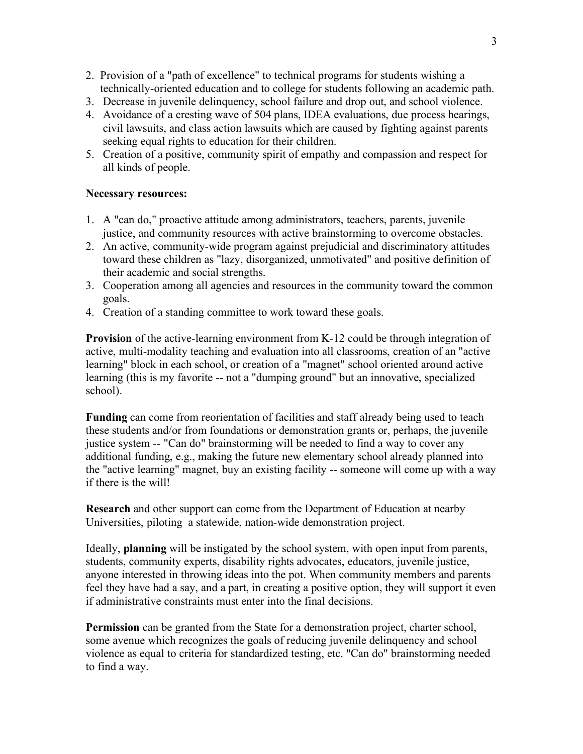- 2. Provision of a "path of excellence" to technical programs for students wishing a technically-oriented education and to college for students following an academic path.
- 3. Decrease in juvenile delinquency, school failure and drop out, and school violence.
- 4. Avoidance of a cresting wave of 504 plans, IDEA evaluations, due process hearings, civil lawsuits, and class action lawsuits which are caused by fighting against parents seeking equal rights to education for their children.
- 5. Creation of a positive, community spirit of empathy and compassion and respect for all kinds of people.

# **Necessary resources:**

- 1. A "can do," proactive attitude among administrators, teachers, parents, juvenile justice, and community resources with active brainstorming to overcome obstacles.
- 2. An active, community-wide program against prejudicial and discriminatory attitudes toward these children as "lazy, disorganized, unmotivated" and positive definition of their academic and social strengths.
- 3. Cooperation among all agencies and resources in the community toward the common goals.
- 4. Creation of a standing committee to work toward these goals.

**Provision** of the active-learning environment from K-12 could be through integration of active, multi-modality teaching and evaluation into all classrooms, creation of an "active learning" block in each school, or creation of a "magnet" school oriented around active learning (this is my favorite -- not a "dumping ground" but an innovative, specialized school).

**Funding** can come from reorientation of facilities and staff already being used to teach these students and/or from foundations or demonstration grants or, perhaps, the juvenile justice system -- "Can do" brainstorming will be needed to find a way to cover any additional funding, e.g., making the future new elementary school already planned into the "active learning" magnet, buy an existing facility -- someone will come up with a way if there is the will!

**Research** and other support can come from the Department of Education at nearby Universities, piloting a statewide, nation-wide demonstration project.

Ideally, **planning** will be instigated by the school system, with open input from parents, students, community experts, disability rights advocates, educators, juvenile justice, anyone interested in throwing ideas into the pot. When community members and parents feel they have had a say, and a part, in creating a positive option, they will support it even if administrative constraints must enter into the final decisions.

**Permission** can be granted from the State for a demonstration project, charter school, some avenue which recognizes the goals of reducing juvenile delinquency and school violence as equal to criteria for standardized testing, etc. "Can do" brainstorming needed to find a way.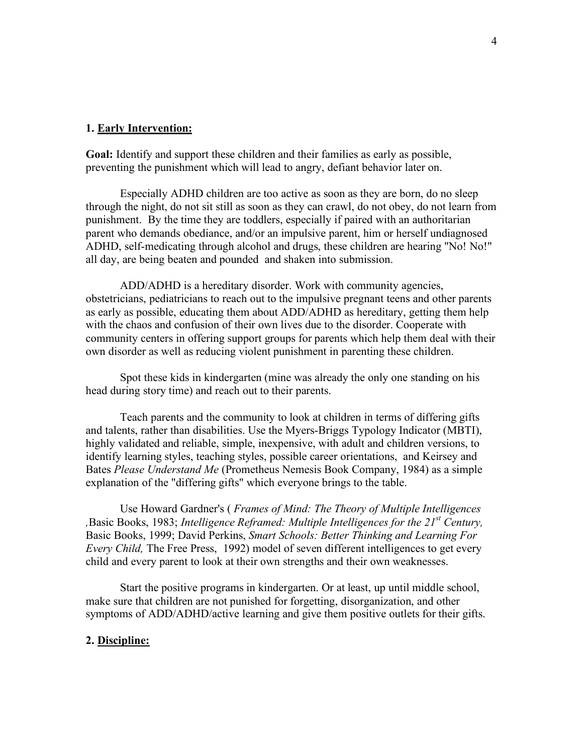## **1. Early Intervention:**

**Goal:** Identify and support these children and their families as early as possible, preventing the punishment which will lead to angry, defiant behavior later on.

Especially ADHD children are too active as soon as they are born, do no sleep through the night, do not sit still as soon as they can crawl, do not obey, do not learn from punishment. By the time they are toddlers, especially if paired with an authoritarian parent who demands obediance, and/or an impulsive parent, him or herself undiagnosed ADHD, self-medicating through alcohol and drugs, these children are hearing "No! No!" all day, are being beaten and pounded and shaken into submission.

ADD/ADHD is a hereditary disorder. Work with community agencies, obstetricians, pediatricians to reach out to the impulsive pregnant teens and other parents as early as possible, educating them about ADD/ADHD as hereditary, getting them help with the chaos and confusion of their own lives due to the disorder. Cooperate with community centers in offering support groups for parents which help them deal with their own disorder as well as reducing violent punishment in parenting these children.

Spot these kids in kindergarten (mine was already the only one standing on his head during story time) and reach out to their parents.

Teach parents and the community to look at children in terms of differing gifts and talents, rather than disabilities. Use the Myers-Briggs Typology Indicator (MBTI), highly validated and reliable, simple, inexpensive, with adult and children versions, to identify learning styles, teaching styles, possible career orientations, and Keirsey and Bates *Please Understand Me* (Prometheus Nemesis Book Company, 1984) as a simple explanation of the "differing gifts" which everyone brings to the table.

Use Howard Gardner's ( *Frames of Mind: The Theory of Multiple Intelligences ,*Basic Books, 1983; *Intelligence Reframed: Multiple Intelligences for the 21st Century,* Basic Books, 1999; David Perkins, *Smart Schools: Better Thinking and Learning For Every Child,* The Free Press, 1992) model of seven different intelligences to get every child and every parent to look at their own strengths and their own weaknesses.

Start the positive programs in kindergarten. Or at least, up until middle school, make sure that children are not punished for forgetting, disorganization, and other symptoms of ADD/ADHD/active learning and give them positive outlets for their gifts.

## **2. Discipline:**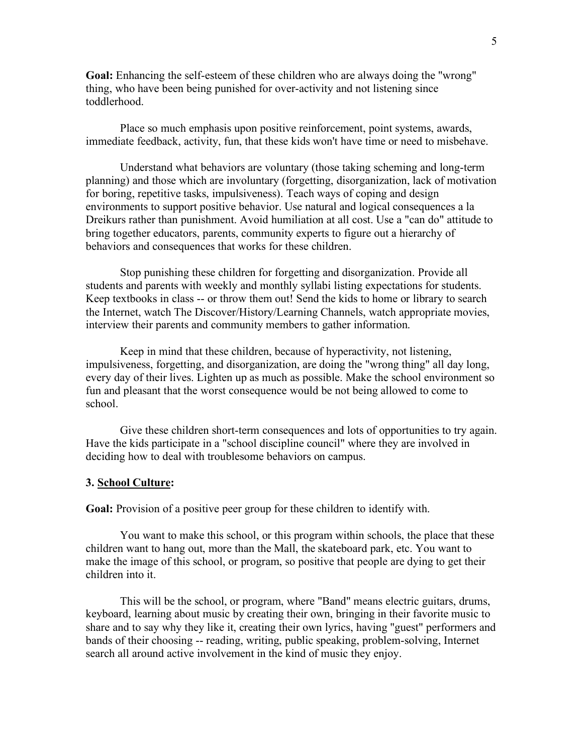**Goal:** Enhancing the self-esteem of these children who are always doing the "wrong" thing, who have been being punished for over-activity and not listening since toddlerhood.

Place so much emphasis upon positive reinforcement, point systems, awards, immediate feedback, activity, fun, that these kids won't have time or need to misbehave.

Understand what behaviors are voluntary (those taking scheming and long-term planning) and those which are involuntary (forgetting, disorganization, lack of motivation for boring, repetitive tasks, impulsiveness). Teach ways of coping and design environments to support positive behavior. Use natural and logical consequences a la Dreikurs rather than punishment. Avoid humiliation at all cost. Use a "can do" attitude to bring together educators, parents, community experts to figure out a hierarchy of behaviors and consequences that works for these children.

Stop punishing these children for forgetting and disorganization. Provide all students and parents with weekly and monthly syllabi listing expectations for students. Keep textbooks in class -- or throw them out! Send the kids to home or library to search the Internet, watch The Discover/History/Learning Channels, watch appropriate movies, interview their parents and community members to gather information.

Keep in mind that these children, because of hyperactivity, not listening, impulsiveness, forgetting, and disorganization, are doing the "wrong thing" all day long, every day of their lives. Lighten up as much as possible. Make the school environment so fun and pleasant that the worst consequence would be not being allowed to come to school.

Give these children short-term consequences and lots of opportunities to try again. Have the kids participate in a "school discipline council" where they are involved in deciding how to deal with troublesome behaviors on campus.

#### **3. School Culture:**

**Goal:** Provision of a positive peer group for these children to identify with.

You want to make this school, or this program within schools, the place that these children want to hang out, more than the Mall, the skateboard park, etc. You want to make the image of this school, or program, so positive that people are dying to get their children into it.

This will be the school, or program, where "Band" means electric guitars, drums, keyboard, learning about music by creating their own, bringing in their favorite music to share and to say why they like it, creating their own lyrics, having "guest" performers and bands of their choosing -- reading, writing, public speaking, problem-solving, Internet search all around active involvement in the kind of music they enjoy.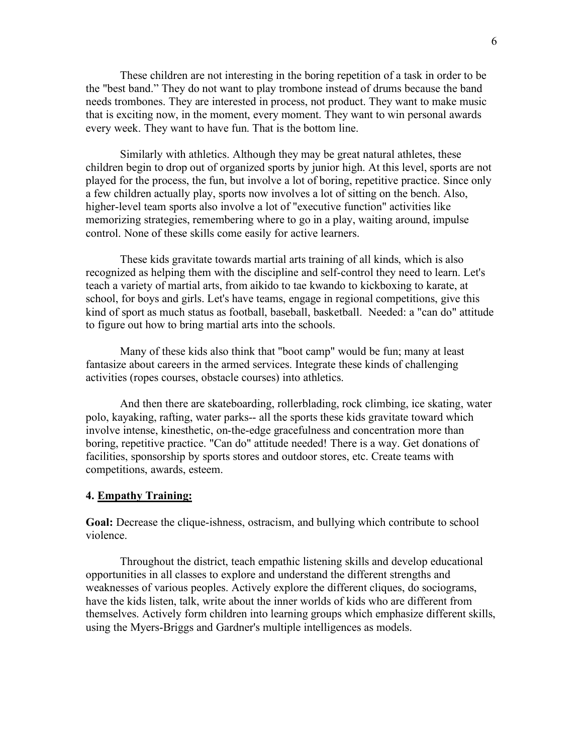These children are not interesting in the boring repetition of a task in order to be the "best band." They do not want to play trombone instead of drums because the band needs trombones. They are interested in process, not product. They want to make music that is exciting now, in the moment, every moment. They want to win personal awards every week. They want to have fun. That is the bottom line.

Similarly with athletics. Although they may be great natural athletes, these children begin to drop out of organized sports by junior high. At this level, sports are not played for the process, the fun, but involve a lot of boring, repetitive practice. Since only a few children actually play, sports now involves a lot of sitting on the bench. Also, higher-level team sports also involve a lot of "executive function" activities like memorizing strategies, remembering where to go in a play, waiting around, impulse control. None of these skills come easily for active learners.

These kids gravitate towards martial arts training of all kinds, which is also recognized as helping them with the discipline and self-control they need to learn. Let's teach a variety of martial arts, from aikido to tae kwando to kickboxing to karate, at school, for boys and girls. Let's have teams, engage in regional competitions, give this kind of sport as much status as football, baseball, basketball. Needed: a "can do" attitude to figure out how to bring martial arts into the schools.

Many of these kids also think that "boot camp" would be fun; many at least fantasize about careers in the armed services. Integrate these kinds of challenging activities (ropes courses, obstacle courses) into athletics.

And then there are skateboarding, rollerblading, rock climbing, ice skating, water polo, kayaking, rafting, water parks-- all the sports these kids gravitate toward which involve intense, kinesthetic, on-the-edge gracefulness and concentration more than boring, repetitive practice. "Can do" attitude needed! There is a way. Get donations of facilities, sponsorship by sports stores and outdoor stores, etc. Create teams with competitions, awards, esteem.

#### **4. Empathy Training:**

**Goal:** Decrease the clique-ishness, ostracism, and bullying which contribute to school violence.

Throughout the district, teach empathic listening skills and develop educational opportunities in all classes to explore and understand the different strengths and weaknesses of various peoples. Actively explore the different cliques, do sociograms, have the kids listen, talk, write about the inner worlds of kids who are different from themselves. Actively form children into learning groups which emphasize different skills, using the Myers-Briggs and Gardner's multiple intelligences as models.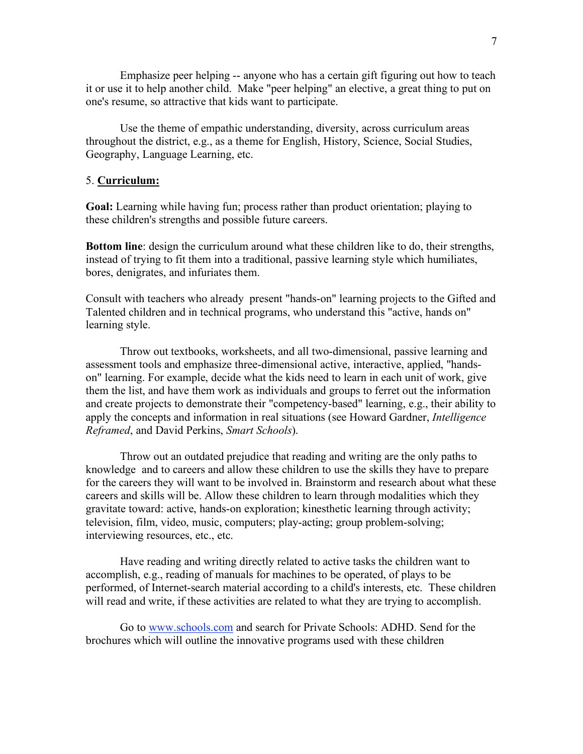Emphasize peer helping -- anyone who has a certain gift figuring out how to teach it or use it to help another child. Make "peer helping" an elective, a great thing to put on one's resume, so attractive that kids want to participate.

Use the theme of empathic understanding, diversity, across curriculum areas throughout the district, e.g., as a theme for English, History, Science, Social Studies, Geography, Language Learning, etc.

## 5. **Curriculum:**

**Goal:** Learning while having fun; process rather than product orientation; playing to these children's strengths and possible future careers.

**Bottom line**: design the curriculum around what these children like to do, their strengths, instead of trying to fit them into a traditional, passive learning style which humiliates, bores, denigrates, and infuriates them.

Consult with teachers who already present "hands-on" learning projects to the Gifted and Talented children and in technical programs, who understand this "active, hands on" learning style.

Throw out textbooks, worksheets, and all two-dimensional, passive learning and assessment tools and emphasize three-dimensional active, interactive, applied, "handson" learning. For example, decide what the kids need to learn in each unit of work, give them the list, and have them work as individuals and groups to ferret out the information and create projects to demonstrate their "competency-based" learning, e.g., their ability to apply the concepts and information in real situations (see Howard Gardner, *Intelligence Reframed*, and David Perkins, *Smart Schools*).

Throw out an outdated prejudice that reading and writing are the only paths to knowledge and to careers and allow these children to use the skills they have to prepare for the careers they will want to be involved in. Brainstorm and research about what these careers and skills will be. Allow these children to learn through modalities which they gravitate toward: active, hands-on exploration; kinesthetic learning through activity; television, film, video, music, computers; play-acting; group problem-solving; interviewing resources, etc., etc.

Have reading and writing directly related to active tasks the children want to accomplish, e.g., reading of manuals for machines to be operated, of plays to be performed, of Internet-search material according to a child's interests, etc. These children will read and write, if these activities are related to what they are trying to accomplish.

Go to www.schools.com and search for Private Schools: ADHD. Send for the brochures which will outline the innovative programs used with these children